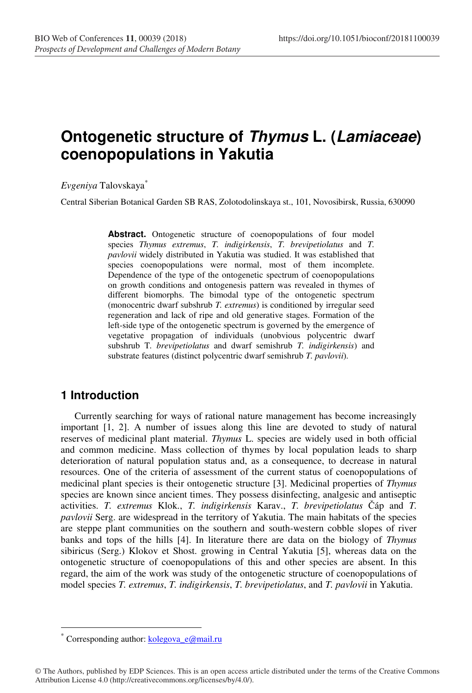# **Ontogenetic structure of Thymus L. (Lamiaceae) coenopopulations in Yakutia**

*Evgeniya* Talovskaya\*

Central Siberian Botanical Garden SB RAS, Zolotodolinskaya st., 101, Novosibirsk, Russia, 630090

**Abstract.** Ontogenetic structure of coenopopulations of four model species *Thymus extremus*, *T. indigirkensis*, *T. brevipetiolatus* and *T. pavlovii* widely distributed in Yakutia was studied. It was established that species coenopopulations were normal, most of them incomplete. Dependence of the type of the ontogenetic spectrum of coenopopulations on growth conditions and ontogenesis pattern was revealed in thymes of different biomorphs. The bimodal type of the ontogenetic spectrum (monocentric dwarf subshrub *T. extremus*) is conditioned by irregular seed regeneration and lack of ripe and old generative stages. Formation of the left-side type of the ontogenetic spectrum is governed by the emergence of vegetative propagation of individuals (unobvious polycentric dwarf subshrub T*. brevipetiolatus* and dwarf semishrub *T. indigirkensis*) and substrate features (distinct polycentric dwarf semishrub *T. pavlovii*).

### **1 Introduction**

Currently searching for ways of rational nature management has become increasingly important [1, 2]. A number of issues along this line are devoted to study of natural reserves of medicinal plant material. *Thymus* L. species are widely used in both official and common medicine. Mass collection of thymes by local population leads to sharp deterioration of natural population status and, as a consequence, to decrease in natural resources. One of the criteria of assessment of the current status of coenopopulations of medicinal plant species is their ontogenetic structure [3]. Medicinal properties of *Thymus* species are known since ancient times. They possess disinfecting, analgesic and antiseptic activities. *T. extremus* Klok., *T. indigirkensis* Karav., *T. brevipetiolatus* Čáp and *T. pavlovii* Serg. are widespread in the territory of Yakutia. The main habitats of the species are steppe plant communities on the southern and south-western cobble slopes of river banks and tops of the hills [4]. In literature there are data on the biology of *Thymus* sibiricus (Serg.) Klokov et Shost. growing in Central Yakutia [5], whereas data on the ontogenetic structure of coenopopulations of this and other species are absent. In this regard, the aim of the work was study of the ontogenetic structure of coenopopulations of model species *T. extremus*, *T. indigirkensis*, *T. brevipetiolatus*, and *T. pavlovii* in Yakutia.

 $\overline{a}$ 

Corresponding author: kolegova\_e@mail.ru

<sup>©</sup> The Authors, published by EDP Sciences. This is an open access article distributed under the terms of the Creative Commons Attribution License 4.0 (http://creativecommons.org/licenses/by/4.0/).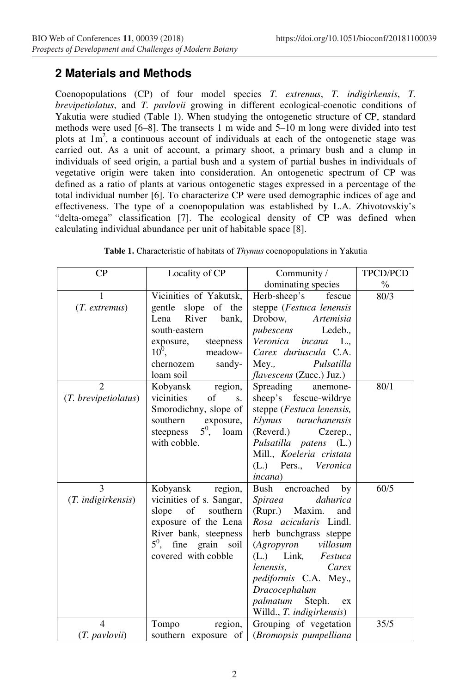## **2 Materials and Methods**

Coenopopulations (CP) of four model species *T. extremus*, *T. indigirkensis*, *T. brevipetiolatus*, and *T. pavlovii* growing in different ecological-coenotic conditions of Yakutia were studied (Table 1). When studying the ontogenetic structure of CP, standard methods were used [6–8]. The transects 1 m wide and 5–10 m long were divided into test plots at  $1m<sup>2</sup>$ , a continuous account of individuals at each of the ontogenetic stage was carried out. As a unit of account, a primary shoot, a primary bush and a clump in individuals of seed origin, a partial bush and a sуstem of partial bushes in individuals of vegetative origin were taken into consideration. An ontogenetic spectrum of CP was defined as a ratio of plants at various ontogenetic stages expressed in a percentage of the total individual number [6]. To characterize CP were used demographic indices of age and effectiveness. The type of a coenopopulation was established by L.A. Zhivotovskiy's "delta-omega" classification [7]. The ecological density of CP was defined when calculating individual abundance per unit of habitable space [8].

| CP                                     | Locality of CP                                                                                                                                                                | TPCD/PCD                                                                                                                                                                                                                                                                                           |               |
|----------------------------------------|-------------------------------------------------------------------------------------------------------------------------------------------------------------------------------|----------------------------------------------------------------------------------------------------------------------------------------------------------------------------------------------------------------------------------------------------------------------------------------------------|---------------|
|                                        |                                                                                                                                                                               | Community /<br>dominating species                                                                                                                                                                                                                                                                  | $\frac{0}{0}$ |
| 1<br>$(T.$ extremus)                   | Vicinities of Yakutsk,<br>gentle slope of the<br>River<br>Lena<br>bank,<br>south-eastern<br>steepness<br>exposure,<br>$10^0$ ,<br>meadow-<br>chernozem<br>sandy-<br>loam soil | Herb-sheep's<br>fescue<br>steppe (Festuca lenensis<br>Drobow,<br>Artemisia<br>pubescens<br>Ledeb.,<br>Veronica<br>incana<br>L.,<br>Carex duriuscula C.A.<br>Mey.,<br>Pulsatilla<br>flavescens (Zucc.) Juz.)                                                                                        | 80/3          |
| $\overline{2}$<br>(T. brevipetiolatus) | region,<br>Kobyansk<br>vicinities<br>of<br>S.<br>Smorodichny, slope of<br>southern<br>exposure,<br>$5^0$ , loam<br>steepness<br>with cobble.                                  | Spreading<br>anemone-<br>sheep's fescue-wildrye<br>steppe (Festuca lenensis,<br>Elymus turuchanensis<br>(Reverd.)<br>Czerep.,<br>Pulsatilla patens (L.)<br>Mill., Koeleria cristata<br>(L.) Pers., Veronica<br><i>incana</i> )                                                                     | 80/1          |
| 3<br>(T. indigirkensis)                | Kobyansk region,<br>vicinities of s. Sangar,<br>slope of<br>southern<br>exposure of the Lena<br>River bank, steepness<br>$5^{\circ}$ , fine grain soil<br>covered with cobble | encroached<br>Bush<br>by<br>dahurica<br>Spiraea<br>(Rupr.) Maxim.<br>and<br>Rosa acicularis Lindl.<br>herb bunchgrass steppe<br>(Agropyron villosum<br>(L.) Link, Festuca<br>Carex<br>lenensis,<br>pediformis C.A. Mey.,<br>Dracocephalum<br>palmatum<br>Steph.<br>ex<br>Willd., T. indigirkensis) | 60/5          |
| $\overline{4}$                         | Tompo<br>region,                                                                                                                                                              | Grouping of vegetation                                                                                                                                                                                                                                                                             | 35/5          |
| (T. pavlovii)                          | southern exposure of                                                                                                                                                          | (Bromopsis pumpelliana                                                                                                                                                                                                                                                                             |               |

**Table 1.** Characteristic of habitats of *Thymus* coenopopulations in Yakutia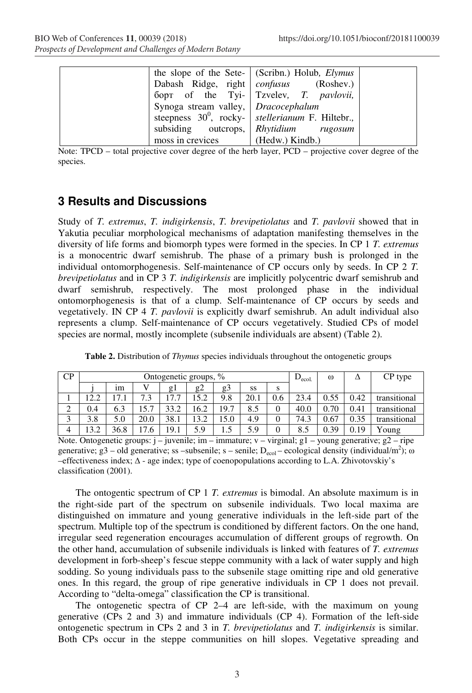|                                     | the slope of the Sete- (Scribn.) Holub, $Elymus$    |  |
|-------------------------------------|-----------------------------------------------------|--|
|                                     | Dabash Ridge, right   confusus (Roshev.)            |  |
|                                     | борт of the Tyi- Tzvelev, T. pavlovii,              |  |
| Synoga stream valley, Dracocephalum |                                                     |  |
|                                     | steepness $30^0$ , rocky- stellerianum F. Hiltebr., |  |
|                                     | subsiding outcrops, Rhytidium rugosum               |  |
| moss in crevices                    | $(Hedw.)$ Kindb.)                                   |  |

Note: TPCD – total projective cover degree of the herb layer, PCD – projective cover degree of the species.

## **3 Results and Discussions**

Study of *T. extremus*, *T. indigirkensis*, *T. brevipetiolatus* and *T. pavlovii* showed that in Yakutia peculiar morphological mechanisms of adaptation manifesting themselves in the diversity of life forms and biomorph types were formed in the species. In CP 1 *T. extremus* is a monocentric dwarf semishrub. The phase of a primary bush is prolonged in the individual ontomorphogenesis. Self-maintenance of CP occurs only by seeds. In CP 2 *T. brevipetiolatus* and in CP 3 *T. indigirkensis* are implicitly polycentric dwarf semishrub and dwarf semishrub, respectively. The most prolonged phase in the individual ontomorphogenesis is that of a clump. Self-maintenance of CP occurs by seeds and vegetatively. IN CP 4 *T. pavlovii* is explicitly dwarf semishrub. An adult individual also represents a clump. Self-maintenance of CP occurs vegetatively. Studied CPs of model species are normal, mostly incomplete (subsenile individuals are absent) (Table 2).

| CP     | Ontogenetic groups, % |       |      |                      |      |      | $D_{\text{ecol.}}$ | $\omega$ |      | CP type |      |              |
|--------|-----------------------|-------|------|----------------------|------|------|--------------------|----------|------|---------|------|--------------|
|        |                       | ım    |      | $g_1$                | g2   | g3   | SS                 | S        |      |         |      |              |
|        | 12.2                  | l 7.1 | 7.3  | $\mathbf{z}$<br>17.7 | 15.2 | 9.8  | 20.1               | 0.6      | 23.4 | 0.55    | 0.42 | transitional |
| ◠<br>∠ | 0.4                   | 6.3   | 15.7 | 33.2                 | 16.2 | 19.7 | 8.5                |          | 40.0 | 0.70    | 0.41 | transitional |
| ⌒      | 3.8                   | 5.0   | 20.0 | 38.1                 | 13.2 | 15.0 | 4.9                |          | 74.3 | 0.67    | 0.35 | transitional |
| 4      | 13.2                  | 36.8  | 17.6 | 19.1                 | 5.9  | 1.5  | 5.9                | 0        | 8.5  | 0.39    | 0.19 | Young        |

**Table 2.** Distribution of *Thymus* species individuals throughout the ontogenetic groups

Note. Ontogenetic groups:  $j$  – juvenile; im – immature;  $v$  – virginal; g1 – young generative; g2 – ripe generative; g3 – old generative; ss – subsenile; s – senile;  $D_{\text{ecol}}$  – ecological density (individual/m<sup>2</sup>);  $\omega$ –effectiveness index; ∆ - age index; type of coenopopulations according to L.A. Zhivotovskiy's classification (2001).

The ontogentic spectrum of CP 1 *T. extremus* is bimodal. An absolute maximum is in the right-side part of the spectrum on subsenile individuals. Two local maxima are distinguished on immature and young generative individuals in the left-side part of the spectrum. Multiple top of the spectrum is conditioned by different factors. On the one hand, irregular seed regeneration encourages accumulation of different groups of regrowth. On the other hand, accumulation of subsenile individuals is linked with features of *T. extremus* development in forb-sheep's fescue steppe community with a lack of water supply and high sodding. So young individuals pass to the subsenile stage omitting ripe and old generative ones. In this regard, the group of ripe generative individuals in CP 1 does not prevail. According to "delta-omega" classification the CP is transitional.

The ontogenetic spectra of CP 2–4 are left-side, with the maximum on young generative (CPs 2 and 3) and immature individuals (CP 4). Formation of the left-side ontogenetic spectrum in CPs 2 and 3 in *T. brevipetiolatus* and *T. indigirkensis* is similar. Both CPs occur in the steppe communities on hill slopes. Vegetative spreading and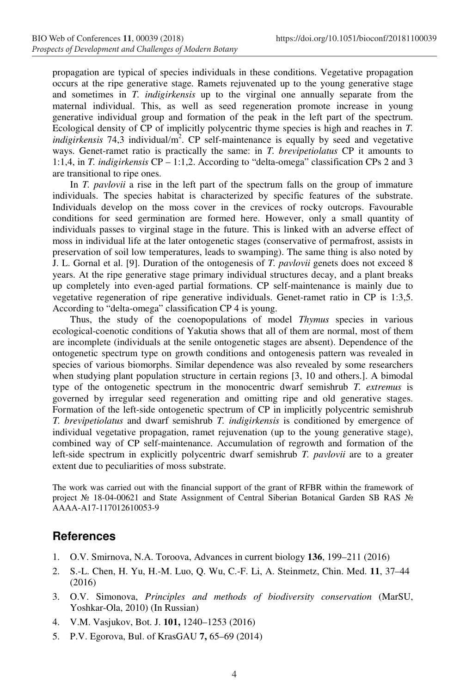propagation are typical of species individuals in these conditions. Vegetative propagation occurs at the ripe generative stage. Ramets rejuvenated up to the young generative stage and sometimes in *T. indigirkensis* up to the virginal one annually separate from the maternal individual. This, as well as seed regeneration promote increase in young generative individual group and formation of the peak in the left part of the spectrum. Ecological density of CP of implicitly polycentric thyme species is high and reaches in *T.*  indigirkensis 74,3 individual/m<sup>2</sup>. CP self-maintenance is equally by seed and vegetative ways. Genet-ramet ratio is practically the same: in *T. brevipetiolatus* CP it amounts to 1:1,4, in *T. indigirkensis* CP – 1:1,2. According to "delta-omega" classification CPs 2 and 3 are transitional to ripe ones.

In *T. pavlovii* a rise in the left part of the spectrum falls on the group of immature individuals. The species habitat is characterized by specific features of the substrate. Individuals develop on the moss cover in the crevices of rocky outcrops. Favourable conditions for seed germination are formed here. However, only a small quantity of individuals passes to virginal stage in the future. This is linked with an adverse effect of moss in individual life at the later ontogenetic stages (conservative of permafrost, assists in preservation of soil low temperatures, leads to swamping). The same thing is also noted by J. L. Gornal et al. [9]. Duration of the ontogenesis of *T. pavlovii* genets does not exceed 8 years. At the ripe generative stage primary individual structures decay, and a plant breaks up completely into even-aged partial formations. CP self-maintenance is mainly due to vegetative regeneration of ripe generative individuals. Genet-ramet ratio in CP is 1:3,5. According to "delta-omega" classification CP 4 is young.

Thus, the study of the coenopopulations of model *Thymus* species in various ecological-coenotic conditions of Yakutia shows that all of them are normal, most of them are incomplete (individuals at the senile ontogenetic stages are absent). Dependence of the ontogenetic spectrum type on growth conditions and ontogenesis pattern was revealed in species of various biomorphs. Similar dependence was also revealed by some researchers when studying plant population structure in certain regions [3, 10 and others.]. A bimodal type of the ontogenetic spectrum in the monocentric dwarf semishrub *T. extremus* is governed by irregular seed regeneration and omitting ripe and old generative stages. Formation of the left-side ontogenetic spectrum of CP in implicitly polycentric semishrub *T. brevipetiolatus* and dwarf semishrub *T. indigirkensis* is conditioned by emergence of individual vegetative propagation, ramet rejuvenation (up to the young generative stage), combined way of CP self-maintenance. Accumulation of regrowth and formation of the left-side spectrum in explicitly polycentric dwarf semishrub *T. pavlovii* are to a greater extent due to peculiarities of moss substrate.

The work was carried out with the financial support of the grant of RFBR within the framework of project № 18-04-00621 and State Assignment of Central Siberian Botanical Garden SB RAS № АААА-А17-117012610053-9

### **References**

- 1. O.V. Smirnova, N.A. Toroova, Advances in current biology **136**, 199–211 (2016)
- 2. S.-L. Chen, H. Yu, H.-M. Luo, Q. Wu, C.-F. Li, A. Steinmetz, Chin. Med. **11**, 37–44 (2016)
- 3. O.V. Simonova, *Principles and methods of biodiversity conservation* (MarSU, Yoshkar-Ola, 2010) (In Russian)
- 4. V.M. Vasjukov, Bot. J. **101,** 1240–1253 (2016)
- 5. P.V. Egorova, Bul. of KrasGAU **7,** 65–69 (2014)